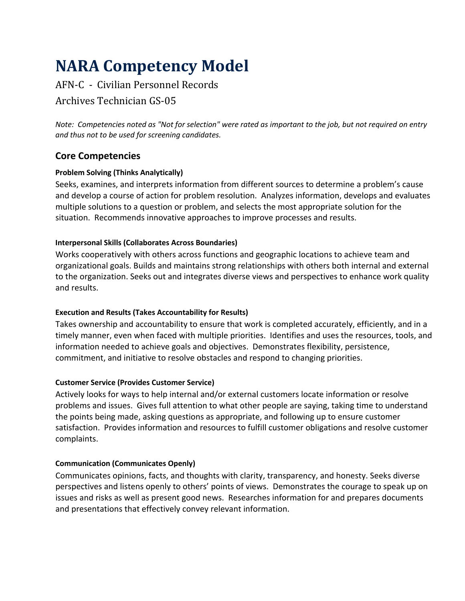# **NARA Competency Model**

# AFN-C - Civilian Personnel Records

# Archives Technician GS-05

*Note: Competencies noted as "Not for selection" were rated as important to the job, but not required on entry and thus not to be used for screening candidates.*

# **Core Competencies**

# **Problem Solving (Thinks Analytically)**

Seeks, examines, and interprets information from different sources to determine a problem's cause and develop a course of action for problem resolution. Analyzes information, develops and evaluates multiple solutions to a question or problem, and selects the most appropriate solution for the situation. Recommends innovative approaches to improve processes and results.

# **Interpersonal Skills (Collaborates Across Boundaries)**

Works cooperatively with others across functions and geographic locations to achieve team and organizational goals. Builds and maintains strong relationships with others both internal and external to the organization. Seeks out and integrates diverse views and perspectives to enhance work quality and results.

# **Execution and Results (Takes Accountability for Results)**

Takes ownership and accountability to ensure that work is completed accurately, efficiently, and in a timely manner, even when faced with multiple priorities. Identifies and uses the resources, tools, and information needed to achieve goals and objectives. Demonstrates flexibility, persistence, commitment, and initiative to resolve obstacles and respond to changing priorities.

# **Customer Service (Provides Customer Service)**

Actively looks for ways to help internal and/or external customers locate information or resolve problems and issues. Gives full attention to what other people are saying, taking time to understand the points being made, asking questions as appropriate, and following up to ensure customer satisfaction. Provides information and resources to fulfill customer obligations and resolve customer complaints.

# **Communication (Communicates Openly)**

Communicates opinions, facts, and thoughts with clarity, transparency, and honesty. Seeks diverse perspectives and listens openly to others' points of views. Demonstrates the courage to speak up on issues and risks as well as present good news. Researches information for and prepares documents and presentations that effectively convey relevant information.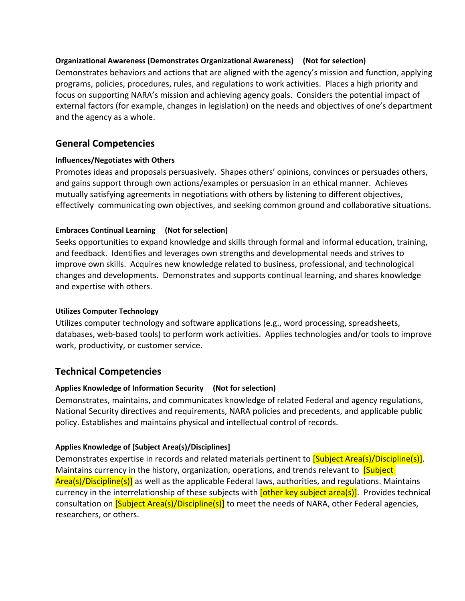#### **Organizational Awareness (Demonstrates Organizational Awareness) (Not for selection)**

Demonstrates behaviors and actions that are aligned with the agency's mission and function, applying programs, policies, procedures, rules, and regulations to work activities. Places a high priority and focus on supporting NARA's mission and achieving agency goals. Considers the potential impact of external factors (for example, changes in legislation) on the needs and objectives of one's department and the agency as a whole.

# **General Competencies**

#### **Influences/Negotiates with Others**

Promotes ideas and proposals persuasively. Shapes others' opinions, convinces or persuades others, and gains support through own actions/examples or persuasion in an ethical manner. Achieves mutually satisfying agreements in negotiations with others by listening to different objectives, effectively communicating own objectives, and seeking common ground and collaborative situations.

# **Embraces Continual Learning (Not for selection)**

Seeks opportunities to expand knowledge and skills through formal and informal education, training, and feedback. Identifies and leverages own strengths and developmental needs and strives to improve own skills. Acquires new knowledge related to business, professional, and technological changes and developments. Demonstrates and supports continual learning, and shares knowledge and expertise with others.

#### **Utilizes Computer Technology**

Utilizes computer technology and software applications (e.g., word processing, spreadsheets, databases, web-based tools) to perform work activities. Applies technologies and/or tools to improve work, productivity, or customer service.

# **Technical Competencies**

# **Applies Knowledge of Information Security (Not for selection)**

Demonstrates, maintains, and communicates knowledge of related Federal and agency regulations, National Security directives and requirements, NARA policies and precedents, and applicable public policy. Establishes and maintains physical and intellectual control of records.

# **Applies Knowledge of [Subject Area(s)/Disciplines]**

Demonstrates expertise in records and related materials pertinent to **[Subject Area(s)/Discipline(s)]**. Maintains currency in the history, organization, operations, and trends relevant to **[Subject**] Area(s)/Discipline(s)] as well as the applicable Federal laws, authorities, and regulations. Maintains currency in the interrelationship of these subjects with *[other key subject area(s)]*. Provides technical consultation on **[Subject Area(s)/Discipline(s)]** to meet the needs of NARA, other Federal agencies, researchers, or others.